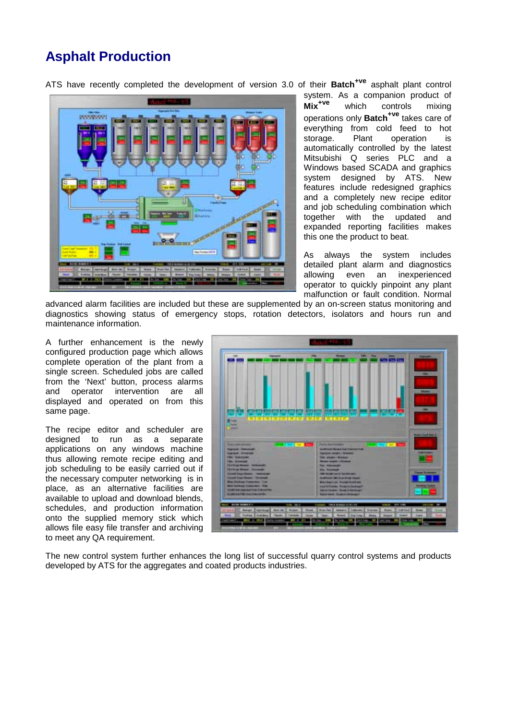## **Asphalt Production**

ATS have recently completed the development of version 3.0 of their **Batch+ve** asphalt plant control



system. As a companion product of **Mix+ve** which controls mixing operations only **Batch+ve** takes care of everything from cold feed to hot<br>storage. Plant operation is storage. Plant operation is automatically controlled by the latest Mitsubishi Q series PLC and a Windows based SCADA and graphics system designed by ATS. New features include redesigned graphics and a completely new recipe editor and job scheduling combination which together with the updated and expanded reporting facilities makes this one the product to beat.

As always the system includes detailed plant alarm and diagnostics allowing even an inexperienced operator to quickly pinpoint any plant malfunction or fault condition. Normal

advanced alarm facilities are included but these are supplemented by an on-screen status monitoring and diagnostics showing status of emergency stops, rotation detectors, isolators and hours run and maintenance information.

A further enhancement is the newly configured production page which allows complete operation of the plant from a single screen. Scheduled jobs are called from the 'Next' button, process alarms and operator intervention are all displayed and operated on from this same page.

The recipe editor and scheduler are designed to run as a separate applications on any windows machine thus allowing remote recipe editing and job scheduling to be easily carried out if the necessary computer networking is in place, as an alternative facilities are available to upload and download blends, schedules, and production information onto the supplied memory stick which allows file easy file transfer and archiving to meet any QA requirement.



The new control system further enhances the long list of successful quarry control systems and products developed by ATS for the aggregates and coated products industries.